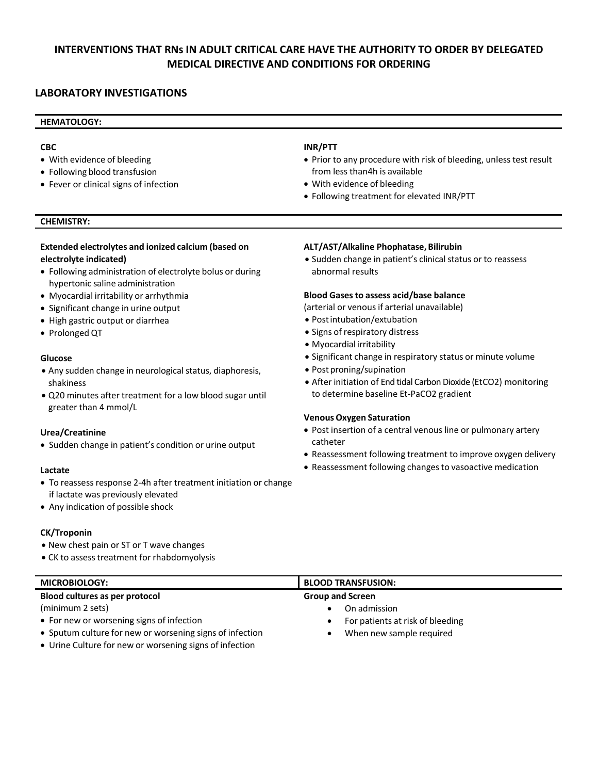# **INTERVENTIONS THAT RNs IN ADULT CRITICAL CARE HAVE THE AUTHORITY TO ORDER BY DELEGATED MEDICAL DIRECTIVE AND CONDITIONS FOR ORDERING**

# **LABORATORY INVESTIGATIONS**

# **HEMATOLOGY:**

### **CBC**

- With evidence of bleeding
- Following blood transfusion
- Fever or clinical signs of infection

# **INR/PTT**

- Prior to any procedure with risk of bleeding, unless test result from less than4h is available
- With evidence of bleeding
- Following treatment for elevated INR/PTT

# **CHEMISTRY:**

# **Extended electrolytes and ionized calcium (based on electrolyte indicated)**

- Following administration of electrolyte bolus or during hypertonic saline administration
- Myocardial irritability or arrhythmia
- Significant change in urine output
- High gastric output or diarrhea
- Prolonged QT

#### **Glucose**

- Any sudden change in neurological status, diaphoresis, shakiness
- Q20 minutes after treatment for a low blood sugar until greater than 4 mmol/L

#### **Urea/Creatinine**

• Sudden change in patient's condition or urine output

#### **Lactate**

- To reassess response 2-4h after treatment initiation or change if lactate was previously elevated
- Any indication of possible shock

#### **CK/Troponin**

- New chest pain or ST or T wave changes
- CK to assess treatment for rhabdomyolysis

#### **ALT/AST/Alkaline Phophatase,Bilirubin**

• Sudden change in patient's clinical status or to reassess abnormal results

#### **Blood Gasesto assess acid/base balance**

(arterial or venous if arterial unavailable)

- Postintubation/extubation
- Signs of respiratory distress
- Myocardial irritability
- Significant change in respiratory status or minute volume
- Post proning/supination
- After initiation of End tidal Carbon Dioxide (EtCO2) monitoring to determine baseline Et-PaCO2 gradient

#### **Venous Oxygen Saturation**

- Post insertion of a central venous line or pulmonary artery catheter
- Reassessment following treatment to improve oxygen delivery
- Reassessment following changes to vasoactive medication

| <b>MICROBIOLOGY:</b>                                     | <b>BLOOD TRANSFUSION:</b>                     |
|----------------------------------------------------------|-----------------------------------------------|
| Blood cultures as per protocol                           | <b>Group and Screen</b>                       |
| (minimum 2 sets)                                         | On admission                                  |
| • For new or worsening signs of infection                | For patients at risk of bleeding<br>$\bullet$ |
| • Sputum culture for new or worsening signs of infection | When new sample required                      |
| • Urine Culture for new or worsening signs of infection  |                                               |